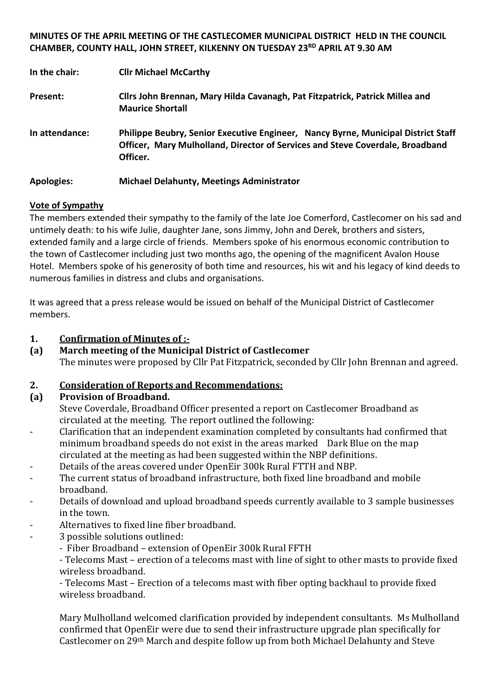#### **MINUTES OF THE APRIL MEETING OF THE CASTLECOMER MUNICIPAL DISTRICT HELD IN THE COUNCIL CHAMBER, COUNTY HALL, JOHN STREET, KILKENNY ON TUESDAY 23RD APRIL AT 9.30 AM**

| In the chair:     | <b>Cllr Michael McCarthy</b>                                                                                                                                                   |
|-------------------|--------------------------------------------------------------------------------------------------------------------------------------------------------------------------------|
| Present:          | Cllrs John Brennan, Mary Hilda Cavanagh, Pat Fitzpatrick, Patrick Millea and<br><b>Maurice Shortall</b>                                                                        |
| In attendance:    | Philippe Beubry, Senior Executive Engineer, Nancy Byrne, Municipal District Staff<br>Officer, Mary Mulholland, Director of Services and Steve Coverdale, Broadband<br>Officer. |
| <b>Apologies:</b> | <b>Michael Delahunty, Meetings Administrator</b>                                                                                                                               |

#### **Vote of Sympathy**

The members extended their sympathy to the family of the late Joe Comerford, Castlecomer on his sad and untimely death: to his wife Julie, daughter Jane, sons Jimmy, John and Derek, brothers and sisters, extended family and a large circle of friends. Members spoke of his enormous economic contribution to the town of Castlecomer including just two months ago, the opening of the magnificent Avalon House Hotel. Members spoke of his generosity of both time and resources, his wit and his legacy of kind deeds to numerous families in distress and clubs and organisations.

It was agreed that a press release would be issued on behalf of the Municipal District of Castlecomer members.

#### **1. Confirmation of Minutes of :-**

**(a) March meeting of the Municipal District of Castlecomer**  The minutes were proposed by Cllr Pat Fitzpatrick, seconded by Cllr John Brennan and agreed.

## **2. Consideration of Reports and Recommendations:**

## **(a) Provision of Broadband.**

Steve Coverdale, Broadband Officer presented a report on Castlecomer Broadband as circulated at the meeting. The report outlined the following:

- Clarification that an independent examination completed by consultants had confirmed that minimum broadband speeds do not exist in the areas marked Dark Blue on the map circulated at the meeting as had been suggested within the NBP definitions.
- Details of the areas covered under OpenEir 300k Rural FTTH and NBP.
- The current status of broadband infrastructure, both fixed line broadband and mobile broadband.
- Details of download and upload broadband speeds currently available to 3 sample businesses in the town.
- Alternatives to fixed line fiber broadband.
- 3 possible solutions outlined:
	- Fiber Broadband extension of OpenEir 300k Rural FFTH

- Telecoms Mast – erection of a telecoms mast with line of sight to other masts to provide fixed wireless broadband.

- Telecoms Mast – Erection of a telecoms mast with fiber opting backhaul to provide fixed wireless broadband.

Mary Mulholland welcomed clarification provided by independent consultants. Ms Mulholland confirmed that OpenEir were due to send their infrastructure upgrade plan specifically for Castlecomer on 29th March and despite follow up from both Michael Delahunty and Steve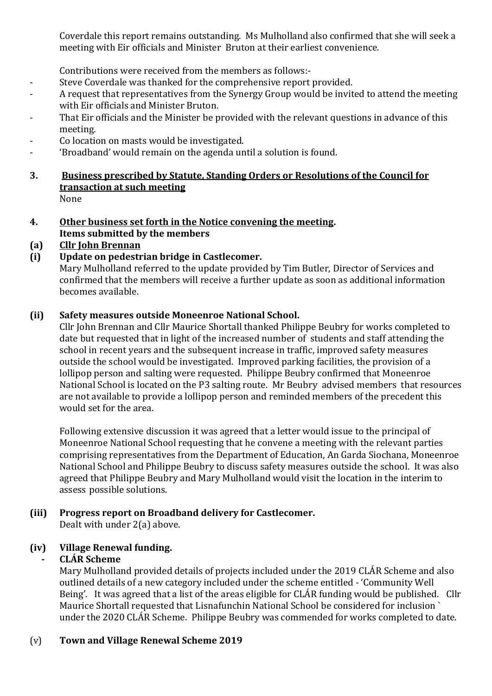Coverdale this report remains outstanding. Ms Mulholland also confirmed that she will seek a meeting with Eir officials and Minister Bruton at their earliest convenience.

Contributions were received from the members as follows:-

- Steve Coverdale was thanked for the comprehensive report provided.
- A request that representatives from the Synergy Group would be invited to attend the meeting with Eir officials and Minister Bruton.
- That Eir officials and the Minister be provided with the relevant questions in advance of this meeting.
- Co location on masts would be investigated.
- 'Broadband' would remain on the agenda until a solution is found.
- **3. Business prescribed by Statute, Standing Orders or Resolutions of the Council for transaction at such meeting** None
- **4. Other business set forth in the Notice convening the meeting. Items submitted by the members**

# **(a) Cllr John Brennan**

**(i) Update on pedestrian bridge in Castlecomer.**

Mary Mulholland referred to the update provided by Tim Butler, Director of Services and confirmed that the members will receive a further update as soon as additional information becomes available.

## **(ii) Safety measures outside Moneenroe National School.**

Cllr John Brennan and Cllr Maurice Shortall thanked Philippe Beubry for works completed to date but requested that in light of the increased number of students and staff attending the school in recent years and the subsequent increase in traffic, improved safety measures outside the school would be investigated. Improved parking facilities, the provision of a lollipop person and salting were requested. Philippe Beubry confirmed that Moneenroe National School is located on the P3 salting route. Mr Beubry advised members that resources are not available to provide a lollipop person and reminded members of the precedent this would set for the area.

Following extensive discussion it was agreed that a letter would issue to the principal of Moneenroe National School requesting that he convene a meeting with the relevant parties comprising representatives from the Department of Education, An Garda Siochana, Moneenroe National School and Philippe Beubry to discuss safety measures outside the school. It was also agreed that Philippe Beubry and Mary Mulholland would visit the location in the interim to assess possible solutions.

#### **(iii) Progress report on Broadband delivery for Castlecomer.** Dealt with under 2(a) above.

## **(iv) Village Renewal funding.**

# **- CLÁR Scheme**

Mary Mulholland provided details of projects included under the 2019 CLÁR Scheme and also outlined details of a new category included under the scheme entitled - 'Community Well Being'. It was agreed that a list of the areas eligible for CLÁR funding would be published. Cllr Maurice Shortall requested that Lisnafunchin National School be considered for inclusion ` under the 2020 CLÁR Scheme. Philippe Beubry was commended for works completed to date.

## (v) **Town and Village Renewal Scheme 2019**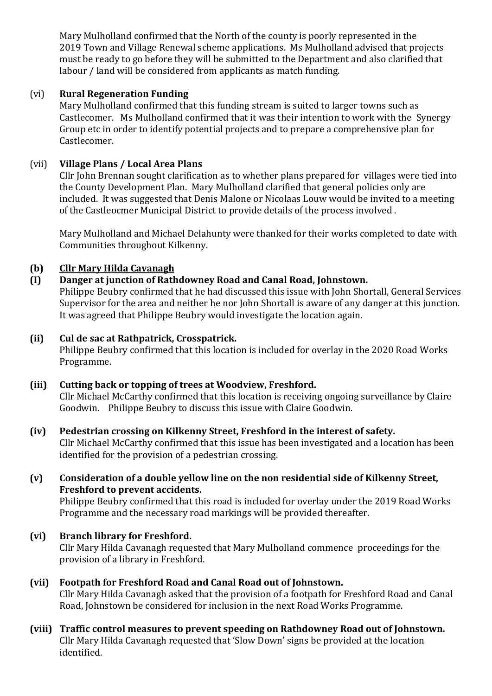Mary Mulholland confirmed that the North of the county is poorly represented in the 2019 Town and Village Renewal scheme applications. Ms Mulholland advised that projects must be ready to go before they will be submitted to the Department and also clarified that labour / land will be considered from applicants as match funding.

## (vi) **Rural Regeneration Funding**

Mary Mulholland confirmed that this funding stream is suited to larger towns such as Castlecomer. Ms Mulholland confirmed that it was their intention to work with the Synergy Group etc in order to identify potential projects and to prepare a comprehensive plan for Castlecomer.

## (vii) **Village Plans / Local Area Plans**

Cllr John Brennan sought clarification as to whether plans prepared for villages were tied into the County Development Plan. Mary Mulholland clarified that general policies only are included. It was suggested that Denis Malone or Nicolaas Louw would be invited to a meeting of the Castleocmer Municipal District to provide details of the process involved .

Mary Mulholland and Michael Delahunty were thanked for their works completed to date with Communities throughout Kilkenny.

## **(b) Cllr Mary Hilda Cavanagh**

## **(I) Danger at junction of Rathdowney Road and Canal Road, Johnstown.**

Philippe Beubry confirmed that he had discussed this issue with John Shortall, General Services Supervisor for the area and neither he nor John Shortall is aware of any danger at this junction. It was agreed that Philippe Beubry would investigate the location again.

## **(ii) Cul de sac at Rathpatrick, Crosspatrick.**

Philippe Beubry confirmed that this location is included for overlay in the 2020 Road Works Programme.

## **(iii) Cutting back or topping of trees at Woodview, Freshford.**

Cllr Michael McCarthy confirmed that this location is receiving ongoing surveillance by Claire Goodwin. Philippe Beubry to discuss this issue with Claire Goodwin.

## **(iv) Pedestrian crossing on Kilkenny Street, Freshford in the interest of safety.**

Cllr Michael McCarthy confirmed that this issue has been investigated and a location has been identified for the provision of a pedestrian crossing.

## **(v) Consideration of a double yellow line on the non residential side of Kilkenny Street, Freshford to prevent accidents.**

Philippe Beubry confirmed that this road is included for overlay under the 2019 Road Works Programme and the necessary road markings will be provided thereafter.

## **(vi) Branch library for Freshford.**

Cllr Mary Hilda Cavanagh requested that Mary Mulholland commence proceedings for the provision of a library in Freshford.

# **(vii) Footpath for Freshford Road and Canal Road out of Johnstown.**

Cllr Mary Hilda Cavanagh asked that the provision of a footpath for Freshford Road and Canal Road, Johnstown be considered for inclusion in the next Road Works Programme.

## **(viii) Traffic control measures to prevent speeding on Rathdowney Road out of Johnstown.** Cllr Mary Hilda Cavanagh requested that 'Slow Down' signs be provided at the location identified.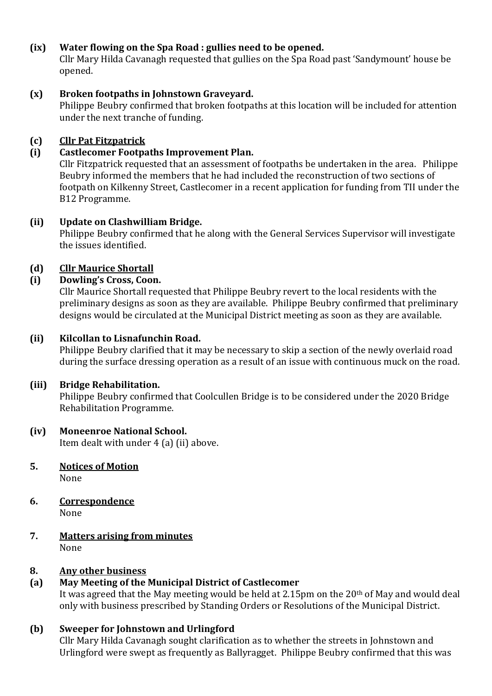## **(ix) Water flowing on the Spa Road : gullies need to be opened.**

Cllr Mary Hilda Cavanagh requested that gullies on the Spa Road past 'Sandymount' house be opened.

#### **(x) Broken footpaths in Johnstown Graveyard.**

Philippe Beubry confirmed that broken footpaths at this location will be included for attention under the next tranche of funding.

#### **(c) Cllr Pat Fitzpatrick**

#### **(i) Castlecomer Footpaths Improvement Plan.**

Cllr Fitzpatrick requested that an assessment of footpaths be undertaken in the area. Philippe Beubry informed the members that he had included the reconstruction of two sections of footpath on Kilkenny Street, Castlecomer in a recent application for funding from TII under the B12 Programme.

#### **(ii) Update on Clashwilliam Bridge.**

Philippe Beubry confirmed that he along with the General Services Supervisor will investigate the issues identified.

## **(d) Cllr Maurice Shortall**

#### **(i) Dowling's Cross, Coon.**

Cllr Maurice Shortall requested that Philippe Beubry revert to the local residents with the preliminary designs as soon as they are available. Philippe Beubry confirmed that preliminary designs would be circulated at the Municipal District meeting as soon as they are available.

#### **(ii) Kilcollan to Lisnafunchin Road.**

Philippe Beubry clarified that it may be necessary to skip a section of the newly overlaid road during the surface dressing operation as a result of an issue with continuous muck on the road.

#### **(iii) Bridge Rehabilitation.**

Philippe Beubry confirmed that Coolcullen Bridge is to be considered under the 2020 Bridge Rehabilitation Programme.

#### **(iv) Moneenroe National School.**

Item dealt with under 4 (a) (ii) above.

- **5. Notices of Motion** None
- **6. Correspondence** None
- **7. Matters arising from minutes** None

#### **8. Any other business**

## **(a) May Meeting of the Municipal District of Castlecomer**

It was agreed that the May meeting would be held at 2.15pm on the 20<sup>th</sup> of May and would deal only with business prescribed by Standing Orders or Resolutions of the Municipal District.

## **(b) Sweeper for Johnstown and Urlingford**

Cllr Mary Hilda Cavanagh sought clarification as to whether the streets in Johnstown and Urlingford were swept as frequently as Ballyragget. Philippe Beubry confirmed that this was